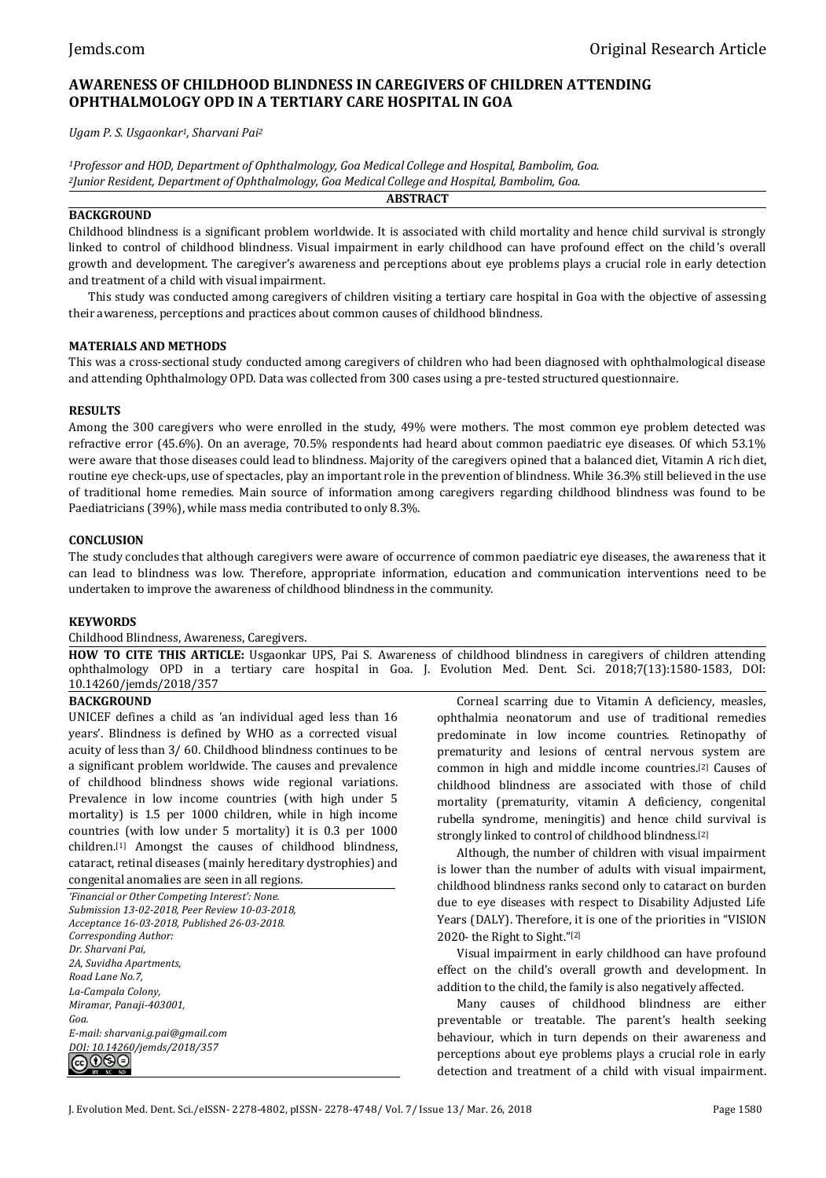# **AWARENESS OF CHILDHOOD BLINDNESS IN CAREGIVERS OF CHILDREN ATTENDING OPHTHALMOLOGY OPD IN A TERTIARY CARE HOSPITAL IN GOA**

*Ugam P. S. Usgaonkar1, Sharvani Pai<sup>2</sup>*

*<sup>1</sup>Professor and HOD, Department of Ophthalmology, Goa Medical College and Hospital, Bambolim, Goa. <sup>2</sup>Junior Resident, Department of Ophthalmology, Goa Medical College and Hospital, Bambolim, Goa.* **ABSTRACT**

### **BACKGROUND**

Childhood blindness is a significant problem worldwide. It is associated with child mortality and hence child survival is strongly linked to control of childhood blindness. Visual impairment in early childhood can have profound effect on the child's overall growth and development. The caregiver's awareness and perceptions about eye problems plays a crucial role in early detection and treatment of a child with visual impairment.

This study was conducted among caregivers of children visiting a tertiary care hospital in Goa with the objective of assessing their awareness, perceptions and practices about common causes of childhood blindness.

### **MATERIALS AND METHODS**

This was a cross-sectional study conducted among caregivers of children who had been diagnosed with ophthalmological disease and attending Ophthalmology OPD. Data was collected from 300 cases using a pre-tested structured questionnaire.

### **RESULTS**

Among the 300 caregivers who were enrolled in the study, 49% were mothers. The most common eye problem detected was refractive error (45.6%). On an average, 70.5% respondents had heard about common paediatric eye diseases. Of which 53.1% were aware that those diseases could lead to blindness. Majority of the caregivers opined that a balanced diet, Vitamin A rich diet, routine eye check-ups, use of spectacles, play an important role in the prevention of blindness. While 36.3% still believed in the use of traditional home remedies. Main source of information among caregivers regarding childhood blindness was found to be Paediatricians (39%), while mass media contributed to only 8.3%.

### **CONCLUSION**

The study concludes that although caregivers were aware of occurrence of common paediatric eye diseases, the awareness that it can lead to blindness was low. Therefore, appropriate information, education and communication interventions need to be undertaken to improve the awareness of childhood blindness in the community.

### **KEYWORDS**

### Childhood Blindness, Awareness, Caregivers.

**HOW TO CITE THIS ARTICLE:** Usgaonkar UPS, Pai S. Awareness of childhood blindness in caregivers of children attending ophthalmology OPD in a tertiary care hospital in Goa. J. Evolution Med. Dent. Sci. 2018;7(13):1580-1583, DOI: 10.14260/jemds/2018/357

### **BACKGROUND**

UNICEF defines a child as 'an individual aged less than 16 years'. Blindness is defined by WHO as a corrected visual acuity of less than 3/ 60. Childhood blindness continues to be a significant problem worldwide. The causes and prevalence of childhood blindness shows wide regional variations. Prevalence in low income countries (with high under 5 mortality) is 1.5 per 1000 children, while in high income countries (with low under 5 mortality) it is 0.3 per 1000 children.[1] Amongst the causes of childhood blindness, cataract, retinal diseases (mainly hereditary dystrophies) and congenital anomalies are seen in all regions.

*'Financial or Other Competing Interest': None. Submission 13-02-2018, Peer Review 10-03-2018, Acceptance 16-03-2018, Published 26-03-2018. Corresponding Author: Dr. Sharvani Pai, 2A, Suvidha Apartments, Road Lane No.7, La-Campala Colony, Miramar, Panaji-403001, Goa. E-mail: sharvani.g.pai@gmail.com DOI: 10.14260/jemds/2018/357* 

Corneal scarring due to Vitamin A deficiency, measles, ophthalmia neonatorum and use of traditional remedies predominate in low income countries. Retinopathy of prematurity and lesions of central nervous system are common in high and middle income countries.[2] Causes of childhood blindness are associated with those of child mortality (prematurity, vitamin A deficiency, congenital rubella syndrome, meningitis) and hence child survival is strongly linked to control of childhood blindness.[2]

Although, the number of children with visual impairment is lower than the number of adults with visual impairment, childhood blindness ranks second only to cataract on burden due to eye diseases with respect to Disability Adjusted Life Years (DALY). Therefore, it is one of the priorities in "VISION 2020- the Right to Sight." [2]

Visual impairment in early childhood can have profound effect on the child's overall growth and development. In addition to the child, the family is also negatively affected.

Many causes of childhood blindness are either preventable or treatable. The parent's health seeking behaviour, which in turn depends on their awareness and perceptions about eye problems plays a crucial role in early detection and treatment of a child with visual impairment.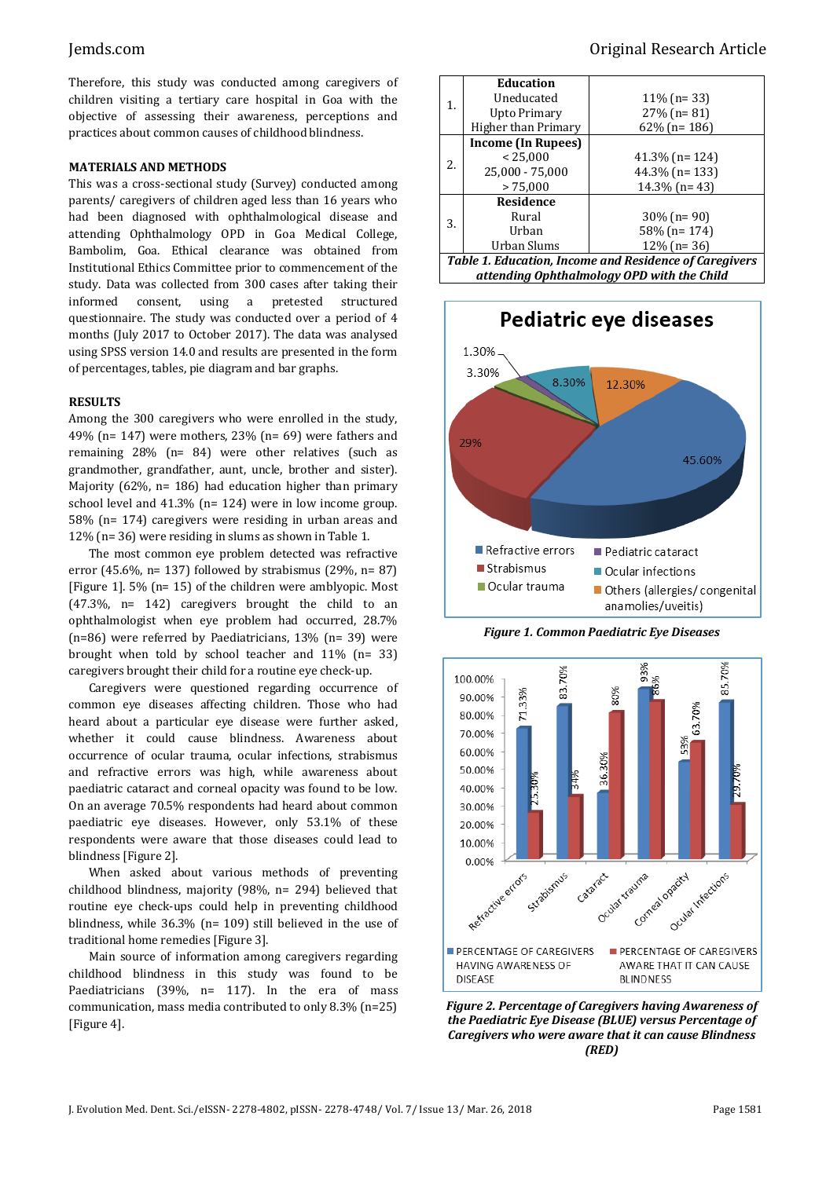Therefore, this study was conducted among caregivers of children visiting a tertiary care hospital in Goa with the objective of assessing their awareness, perceptions and practices about common causes of childhood blindness.

### **MATERIALS AND METHODS**

This was a cross-sectional study (Survey) conducted among parents/ caregivers of children aged less than 16 years who had been diagnosed with ophthalmological disease and attending Ophthalmology OPD in Goa Medical College, Bambolim, Goa. Ethical clearance was obtained from Institutional Ethics Committee prior to commencement of the study. Data was collected from 300 cases after taking their informed consent, using a pretested structured questionnaire. The study was conducted over a period of 4 months (July 2017 to October 2017). The data was analysed using SPSS version 14.0 and results are presented in the form of percentages, tables, pie diagram and bar graphs.

### **RESULTS**

Among the 300 caregivers who were enrolled in the study, 49% (n= 147) were mothers, 23% (n= 69) were fathers and remaining 28% (n= 84) were other relatives (such as grandmother, grandfather, aunt, uncle, brother and sister). Majority (62%, n= 186) had education higher than primary school level and 41.3% (n= 124) were in low income group. 58% (n= 174) caregivers were residing in urban areas and 12% (n= 36) were residing in slums as shown in Table 1.

The most common eye problem detected was refractive error (45.6%, n= 137) followed by strabismus (29%, n= 87) [Figure 1]. 5% (n= 15) of the children were amblyopic. Most (47.3%, n= 142) caregivers brought the child to an ophthalmologist when eye problem had occurred, 28.7% (n=86) were referred by Paediatricians, 13% (n= 39) were brought when told by school teacher and 11% (n= 33) caregivers brought their child for a routine eye check-up.

Caregivers were questioned regarding occurrence of common eye diseases affecting children. Those who had heard about a particular eye disease were further asked, whether it could cause blindness. Awareness about occurrence of ocular trauma, ocular infections, strabismus and refractive errors was high, while awareness about paediatric cataract and corneal opacity was found to be low. On an average 70.5% respondents had heard about common paediatric eye diseases. However, only 53.1% of these respondents were aware that those diseases could lead to blindness [Figure 2].

When asked about various methods of preventing childhood blindness, majority (98%, n= 294) believed that routine eye check-ups could help in preventing childhood blindness, while 36.3% (n= 109) still believed in the use of traditional home remedies [Figure 3].

Main source of information among caregivers regarding childhood blindness in this study was found to be Paediatricians (39%, n= 117). In the era of mass communication, mass media contributed to only 8.3% (n=25) [Figure 4].

| 1.                                                     | <b>Education</b>    |                   |
|--------------------------------------------------------|---------------------|-------------------|
|                                                        | Uneducated          | $11\%$ (n= 33)    |
|                                                        | Upto Primary        | $27\%$ (n= 81)    |
|                                                        | Higher than Primary | $62\%$ (n= 186)   |
| 2.                                                     | Income (In Rupees)  |                   |
|                                                        | < 25,000            | $41.3\%$ (n= 124) |
|                                                        | 25,000 - 75,000     | $44.3\%$ (n= 133) |
|                                                        | > 75,000            | $14.3\%$ (n= 43)  |
| 3.                                                     | Residence           |                   |
|                                                        | Rural               | $30\%$ (n= 90)    |
|                                                        | Urban               | 58% (n= 174)      |
|                                                        | Urban Slums         | $12\%$ (n= 36)    |
| Table 1. Education, Income and Residence of Caregivers |                     |                   |

*attending Ophthalmology OPD with the Child*



*Figure 1. Common Paediatric Eye Diseases*



*Figure 2. Percentage of Caregivers having Awareness of the Paediatric Eye Disease (BLUE) versus Percentage of Caregivers who were aware that it can cause Blindness (RED)*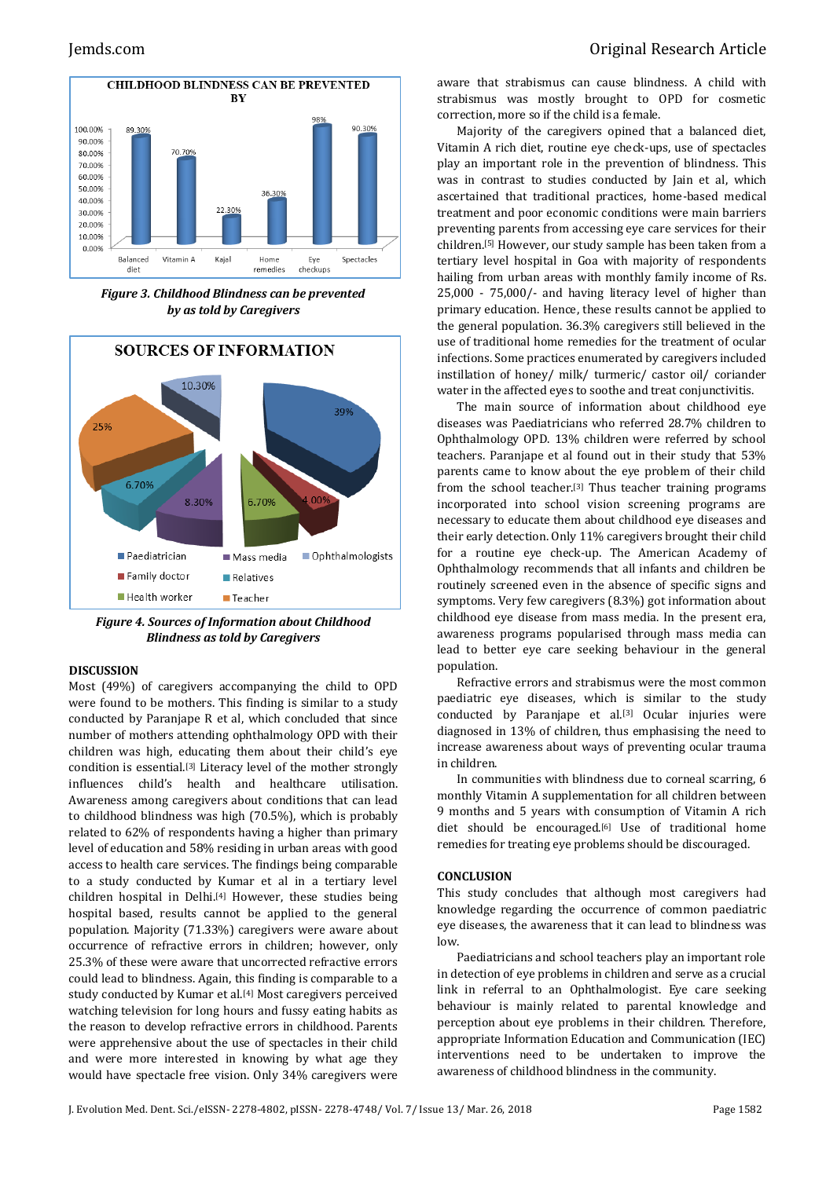

*Figure 3. Childhood Blindness can be prevented by as told by Caregivers*



*Figure 4. Sources of Information about Childhood Blindness as told by Caregivers*

### **DISCUSSION**

Most (49%) of caregivers accompanying the child to OPD were found to be mothers. This finding is similar to a study conducted by Paranjape R et al, which concluded that since number of mothers attending ophthalmology OPD with their children was high, educating them about their child's eye condition is essential.[3] Literacy level of the mother strongly influences child's health and healthcare utilisation. Awareness among caregivers about conditions that can lead to childhood blindness was high (70.5%), which is probably related to 62% of respondents having a higher than primary level of education and 58% residing in urban areas with good access to health care services. The findings being comparable to a study conducted by Kumar et al in a tertiary level children hospital in Delhi.[4] However, these studies being hospital based, results cannot be applied to the general population. Majority (71.33%) caregivers were aware about occurrence of refractive errors in children; however, only 25.3% of these were aware that uncorrected refractive errors could lead to blindness. Again, this finding is comparable to a study conducted by Kumar et al.<sup>[4]</sup> Most caregivers perceived watching television for long hours and fussy eating habits as the reason to develop refractive errors in childhood. Parents were apprehensive about the use of spectacles in their child and were more interested in knowing by what age they would have spectacle free vision. Only 34% caregivers were

aware that strabismus can cause blindness. A child with strabismus was mostly brought to OPD for cosmetic correction, more so if the child is a female.

Majority of the caregivers opined that a balanced diet, Vitamin A rich diet, routine eye check-ups, use of spectacles play an important role in the prevention of blindness. This was in contrast to studies conducted by Jain et al, which ascertained that traditional practices, home-based medical treatment and poor economic conditions were main barriers preventing parents from accessing eye care services for their children. [5] However, our study sample has been taken from a tertiary level hospital in Goa with majority of respondents hailing from urban areas with monthly family income of Rs. 25,000 - 75,000/- and having literacy level of higher than primary education. Hence, these results cannot be applied to the general population. 36.3% caregivers still believed in the use of traditional home remedies for the treatment of ocular infections. Some practices enumerated by caregivers included instillation of honey/ milk/ turmeric/ castor oil/ coriander water in the affected eyes to soothe and treat conjunctivitis.

The main source of information about childhood eye diseases was Paediatricians who referred 28.7% children to Ophthalmology OPD. 13% children were referred by school teachers. Paranjape et al found out in their study that 53% parents came to know about the eye problem of their child from the school teacher.[3] Thus teacher training programs incorporated into school vision screening programs are necessary to educate them about childhood eye diseases and their early detection. Only 11% caregivers brought their child for a routine eye check-up. The American Academy of Ophthalmology recommends that all infants and children be routinely screened even in the absence of specific signs and symptoms. Very few caregivers (8.3%) got information about childhood eye disease from mass media. In the present era, awareness programs popularised through mass media can lead to better eye care seeking behaviour in the general population.

Refractive errors and strabismus were the most common paediatric eye diseases, which is similar to the study conducted by Paranjape et al.<sup>[3]</sup> Ocular injuries were diagnosed in 13% of children, thus emphasising the need to increase awareness about ways of preventing ocular trauma in children.

In communities with blindness due to corneal scarring, 6 monthly Vitamin A supplementation for all children between 9 months and 5 years with consumption of Vitamin A rich diet should be encouraged.[6] Use of traditional home remedies for treating eye problems should be discouraged.

### **CONCLUSION**

This study concludes that although most caregivers had knowledge regarding the occurrence of common paediatric eye diseases, the awareness that it can lead to blindness was low.

Paediatricians and school teachers play an important role in detection of eye problems in children and serve as a crucial link in referral to an Ophthalmologist. Eye care seeking behaviour is mainly related to parental knowledge and perception about eye problems in their children. Therefore, appropriate Information Education and Communication (IEC) interventions need to be undertaken to improve the awareness of childhood blindness in the community.